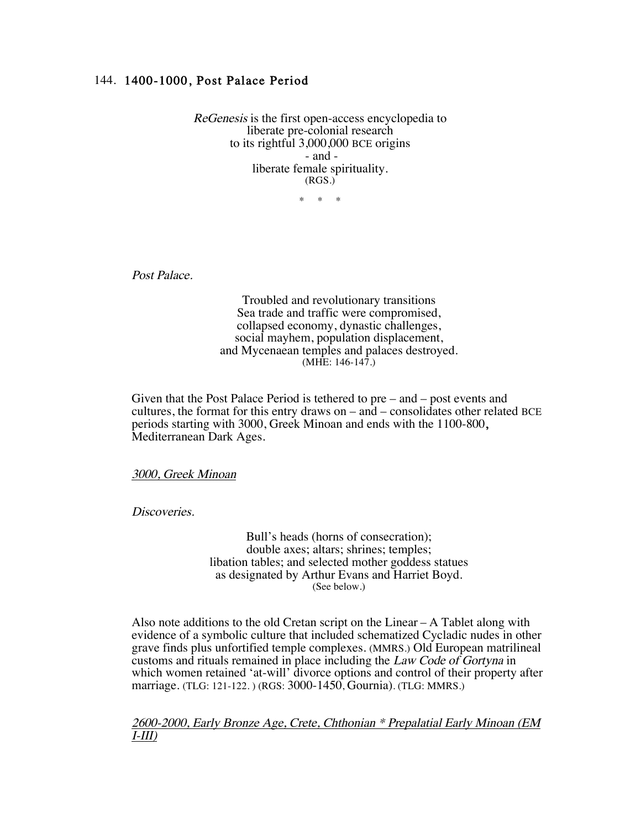# 144. 1400-1000, Post Palace Period

ReGenesis is the first open-access encyclopedia to liberate pre-colonial research to its rightful 3,000,000 BCE origins - and liberate female spirituality. (RGS.)

 $*$  \*

Post Palace.

Troubled and revolutionary transitions Sea trade and traffic were compromised, collapsed economy, dynastic challenges, social mayhem, population displacement, and Mycenaean temples and palaces destroyed. (MHE: 146-147.)

Given that the Post Palace Period is tethered to pre – and – post events and cultures, the format for this entry draws on – and – consolidates other related BCE periods starting with 3000, Greek Minoan and ends with the 1100-800, Mediterranean Dark Ages.

3000, Greek Minoan

Discoveries.

Bull's heads (horns of consecration); double axes; altars; shrines; temples; libation tables; and selected mother goddess statues as designated by Arthur Evans and Harriet Boyd. (See below.)

Also note additions to the old Cretan script on the Linear  $-A$  Tablet along with evidence of a symbolic culture that included schematized Cycladic nudes in other grave finds plus unfortified temple complexes. (MMRS.) Old European matrilineal customs and rituals remained in place including the Law Code of Gortyna in which women retained 'at-will' divorce options and control of their property after marriage. (TLG: 121-122. ) (RGS: 3000-1450, Gournia). (TLG: MMRS.)

2600-2000, Early Bronze Age, Crete, Chthonian \* Prepalatial Early Minoan (EM I-III)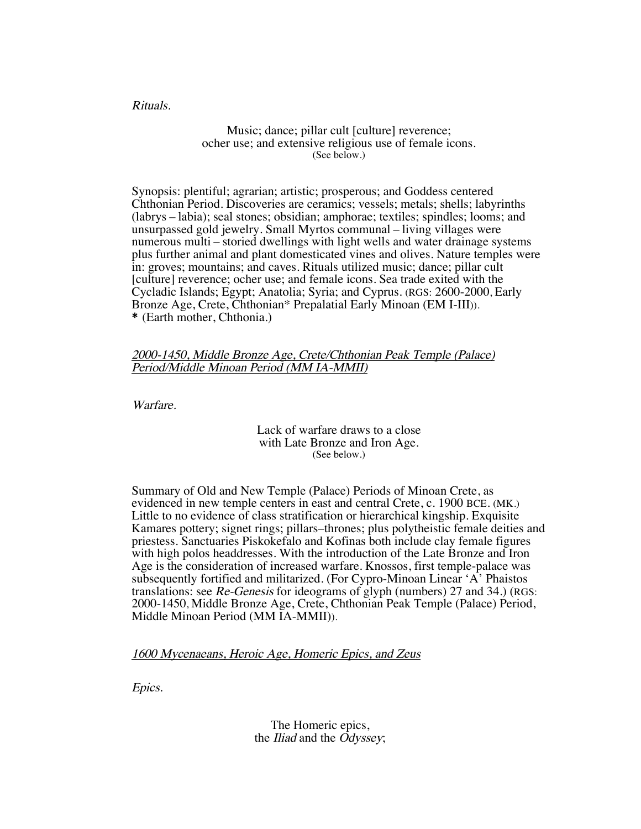Rituals.

### Music; dance; pillar cult [culture] reverence; ocher use; and extensive religious use of female icons. (See below.)

Synopsis: plentiful; agrarian; artistic; prosperous; and Goddess centered Chthonian Period. Discoveries are ceramics; vessels; metals; shells; labyrinths (labrys – labia); seal stones; obsidian; amphorae; textiles; spindles; looms; and unsurpassed gold jewelry. Small Myrtos communal – living villages were numerous multi – storied dwellings with light wells and water drainage systems plus further animal and plant domesticated vines and olives. Nature temples were in: groves; mountains; and caves. Rituals utilized music; dance; pillar cult [culture] reverence; ocher use; and female icons. Sea trade exited with the Cycladic Islands; Egypt; Anatolia; Syria; and Cyprus. (RGS: 2600-2000, Early Bronze Age, Crete, Chthonian\* Prepalatial Early Minoan (EM I-III)). \* (Earth mother, Chthonia.)

## 2000-1450, Middle Bronze Age, Crete/Chthonian Peak Temple (Palace) Period/Middle Minoan Period (MM IA-MMII)

Warfare.

### Lack of warfare draws to a close with Late Bronze and Iron Age. (See below.)

Summary of Old and New Temple (Palace) Periods of Minoan Crete, as evidenced in new temple centers in east and central Crete, c. 1900 BCE. (MK.) Little to no evidence of class stratification or hierarchical kingship. Exquisite Kamares pottery; signet rings; pillars–thrones; plus polytheistic female deities and priestess. Sanctuaries Piskokefalo and Kofinas both include clay female figures with high polos headdresses. With the introduction of the Late Bronze and Iron Age is the consideration of increased warfare. Knossos, first temple-palace was subsequently fortified and militarized. (For Cypro-Minoan Linear 'A' Phaistos translations: see Re-Genesis for ideograms of glyph (numbers) 27 and 34.) (RGS: 2000-1450, Middle Bronze Age, Crete, Chthonian Peak Temple (Palace) Period, Middle Minoan Period (MM IA-MMII)).

1600 Mycenaeans, Heroic Age, Homeric Epics, and Zeus

Epics.

The Homeric epics, the Iliad and the Odyssey;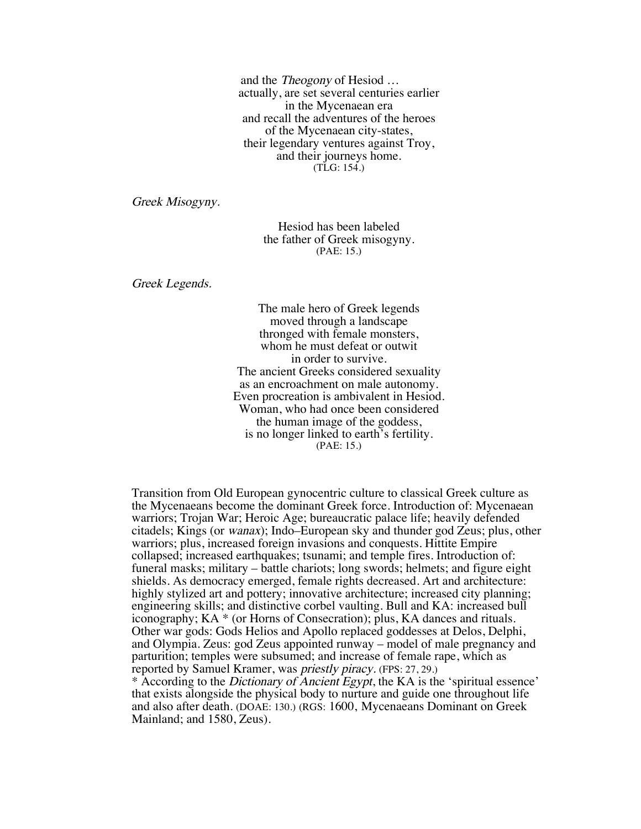and the Theogony of Hesiod … actually, are set several centuries earlier in the Mycenaean era and recall the adventures of the heroes of the Mycenaean city-states, their legendary ventures against Troy, and their journeys home. (TLG: 154.)

Greek Misogyny.

Hesiod has been labeled the father of Greek misogyny. (PAE: 15.)

Greek Legends.

The male hero of Greek legends moved through a landscape thronged with female monsters, whom he must defeat or outwit in order to survive. The ancient Greeks considered sexuality as an encroachment on male autonomy. Even procreation is ambivalent in Hesiod. Woman, who had once been considered the human image of the goddess, is no longer linked to earth's fertility. (PAE: 15.)

Transition from Old European gynocentric culture to classical Greek culture as the Mycenaeans become the dominant Greek force. Introduction of: Mycenaean warriors; Trojan War; Heroic Age; bureaucratic palace life; heavily defended citadels; Kings (or wanax); Indo–European sky and thunder god Zeus; plus, other warriors; plus, increased foreign invasions and conquests. Hittite Empire collapsed; increased earthquakes; tsunami; and temple fires. Introduction of: funeral masks; military – battle chariots; long swords; helmets; and figure eight shields. As democracy emerged, female rights decreased. Art and architecture: highly stylized art and pottery; innovative architecture; increased city planning; engineering skills; and distinctive corbel vaulting. Bull and KA: increased bull iconography; KA \* (or Horns of Consecration); plus, KA dances and rituals. Other war gods: Gods Helios and Apollo replaced goddesses at Delos, Delphi, and Olympia. Zeus: god Zeus appointed runway – model of male pregnancy and parturition; temples were subsumed; and increase of female rape, which as reported by Samuel Kramer, was priestly piracy. (FPS: 27, 29.)

\* According to the Dictionary of Ancient Egypt, the KA is the 'spiritual essence' that exists alongside the physical body to nurture and guide one throughout life and also after death. (DOAE: 130.) (RGS: 1600, Mycenaeans Dominant on Greek Mainland; and 1580, Zeus).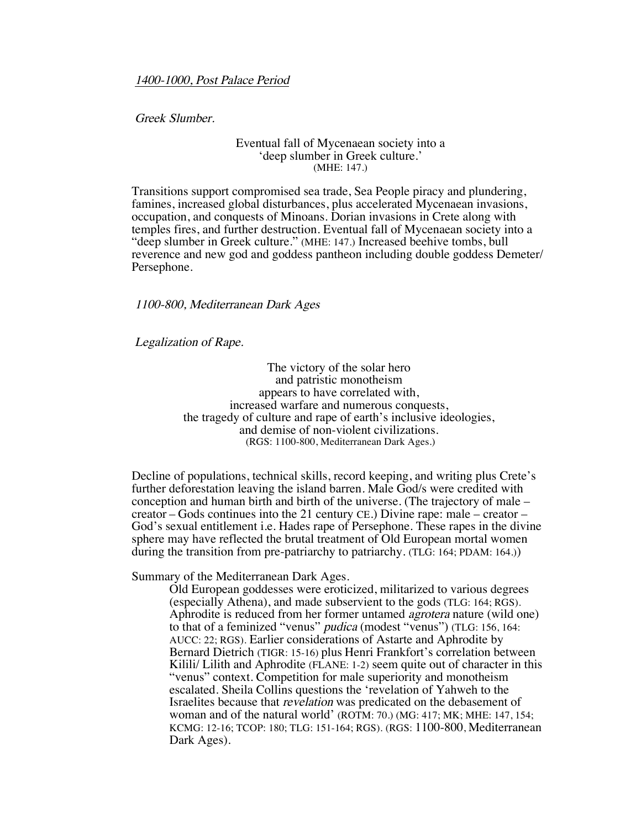1400-1000, Post Palace Period

Greek Slumber.

### Eventual fall of Mycenaean society into a 'deep slumber in Greek culture.' (MHE: 147.)

Transitions support compromised sea trade, Sea People piracy and plundering, famines, increased global disturbances, plus accelerated Mycenaean invasions, occupation, and conquests of Minoans. Dorian invasions in Crete along with temples fires, and further destruction. Eventual fall of Mycenaean society into a "deep slumber in Greek culture." (MHE: 147.) Increased beehive tombs, bull reverence and new god and goddess pantheon including double goddess Demeter/ Persephone.

## 1100-800, Mediterranean Dark Ages

Legalization of Rape.

The victory of the solar hero and patristic monotheism appears to have correlated with, increased warfare and numerous conquests, the tragedy of culture and rape of earth's inclusive ideologies, and demise of non-violent civilizations. (RGS: 1100-800, Mediterranean Dark Ages.)

Decline of populations, technical skills, record keeping, and writing plus Crete's further deforestation leaving the island barren. Male God/s were credited with conception and human birth and birth of the universe. (The trajectory of male – creator – Gods continues into the 21 century CE.) Divine rape: male – creator – God's sexual entitlement i.e. Hades rape of Persephone. These rapes in the divine sphere may have reflected the brutal treatment of Old European mortal women during the transition from pre-patriarchy to patriarchy. (TLG: 164; PDAM: 164.))

Summary of the Mediterranean Dark Ages.

Old European goddesses were eroticized, militarized to various degrees (especially Athena), and made subservient to the gods (TLG: 164; RGS). Aphrodite is reduced from her former untamed agrotera nature (wild one) to that of a feminized "venus" pudica (modest "venus") (TLG: 156, 164: AUCC: 22; RGS). Earlier considerations of Astarte and Aphrodite by Bernard Dietrich (TIGR: 15-16) plus Henri Frankfort's correlation between Kilili/ Lilith and Aphrodite (FLANE: 1-2) seem quite out of character in this "venus" context. Competition for male superiority and monotheism escalated. Sheila Collins questions the 'revelation of Yahweh to the Israelites because that revelation was predicated on the debasement of woman and of the natural world' (ROTM: 70.) (MG: 417; MK; MHE: 147, 154; KCMG: 12-16; TCOP: 180; TLG: 151-164; RGS). (RGS: 1100-800, Mediterranean Dark Ages).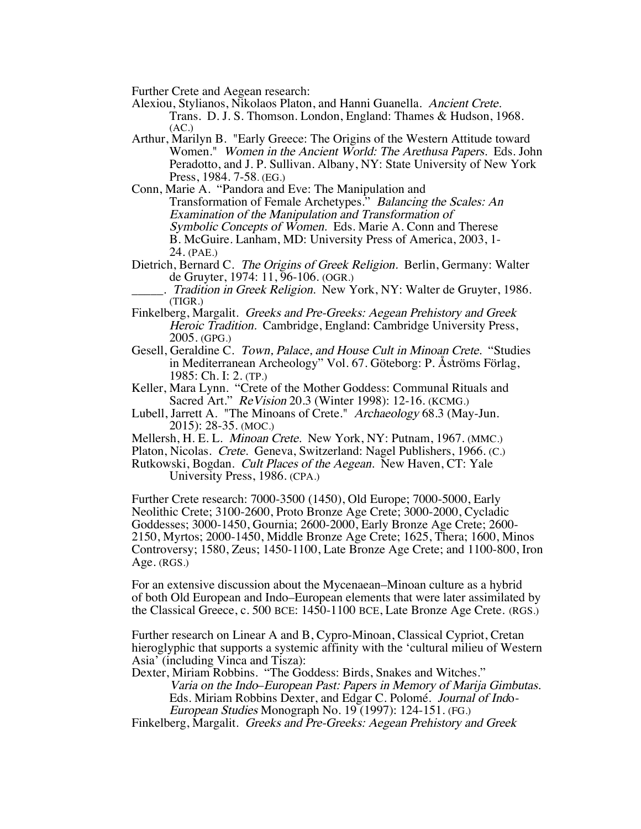Further Crete and Aegean research:

Alexiou, Stylianos, Nikolaos Platon, and Hanni Guanella. Ancient Crete. Trans. D. J. S. Thomson. London, England: Thames & Hudson, 1968. (AC.)

Arthur, Marilyn B. "Early Greece: The Origins of the Western Attitude toward Women." Women in the Ancient World: The Arethusa Papers. Eds. John Peradotto, and J. P. Sullivan. Albany, NY: State University of New York Press, 1984. 7-58. (EG.)

Conn, Marie A. "Pandora and Eve: The Manipulation and Transformation of Female Archetypes." Balancing the Scales: An Examination of the Manipulation and Transformation of Symbolic Concepts of Women. Eds. Marie A. Conn and Therese B. McGuire. Lanham, MD: University Press of America, 2003, 1- 24. (PAE.)

Dietrich, Bernard C. The Origins of Greek Religion. Berlin, Germany: Walter de Gruyter, 1974: 11, 96-106. (OGR.)

. Tradition in Greek Religion. New York, NY: Walter de Gruyter, 1986. (TIGR.)

- Finkelberg, Margalit. Greeks and Pre-Greeks: Aegean Prehistory and Greek Heroic Tradition. Cambridge, England: Cambridge University Press, 2005. (GPG.)
- Gesell, Geraldine C. Town, Palace, and House Cult in Minoan Crete. "Studies in Mediterranean Archeology" Vol. 67. Göteborg: P. Åströms Förlag, 1985: Ch. I: 2. (TP.)
- Keller, Mara Lynn. "Crete of the Mother Goddess: Communal Rituals and Sacred Art." ReVision 20.3 (Winter 1998): 12-16. (KCMG.)
- Lubell, Jarrett A. "The Minoans of Crete." Archaeology 68.3 (May-Jun. 2015): 28-35. (MOC.)
- Mellersh, H. E. L. Minoan Crete. New York, NY: Putnam, 1967. (MMC.)
- Platon, Nicolas. Crete. Geneva, Switzerland: Nagel Publishers, 1966. (C.)

Rutkowski, Bogdan. Cult Places of the Aegean. New Haven, CT: Yale University Press, 1986. (CPA.)

Further Crete research: 7000-3500 (1450), Old Europe; 7000-5000, Early Neolithic Crete; 3100-2600, Proto Bronze Age Crete; 3000-2000, Cycladic Goddesses; 3000-1450, Gournia; 2600-2000, Early Bronze Age Crete; 2600- 2150, Myrtos; 2000-1450, Middle Bronze Age Crete; 1625, Thera; 1600, Minos Controversy; 1580, Zeus; 1450-1100, Late Bronze Age Crete; and 1100-800, Iron Age. (RGS.)

For an extensive discussion about the Mycenaean–Minoan culture as a hybrid of both Old European and Indo–European elements that were later assimilated by the Classical Greece, c. 500 BCE: 1450-1100 BCE, Late Bronze Age Crete. (RGS.)

Further research on Linear A and B, Cypro-Minoan, Classical Cypriot, Cretan hieroglyphic that supports a systemic affinity with the 'cultural milieu of Western Asia' (including Vinca and Tisza):

Dexter, Miriam Robbins. "The Goddess: Birds, Snakes and Witches."

Varia on the Indo–European Past: Papers in Memory of Marija Gimbutas. Eds. Miriam Robbins Dexter, and Edgar C. Polomé. Journal of Indo- European Studies Monograph No. 19 (1997): 124-151. (FG.)

Finkelberg, Margalit. Greeks and Pre-Greeks: Aegean Prehistory and Greek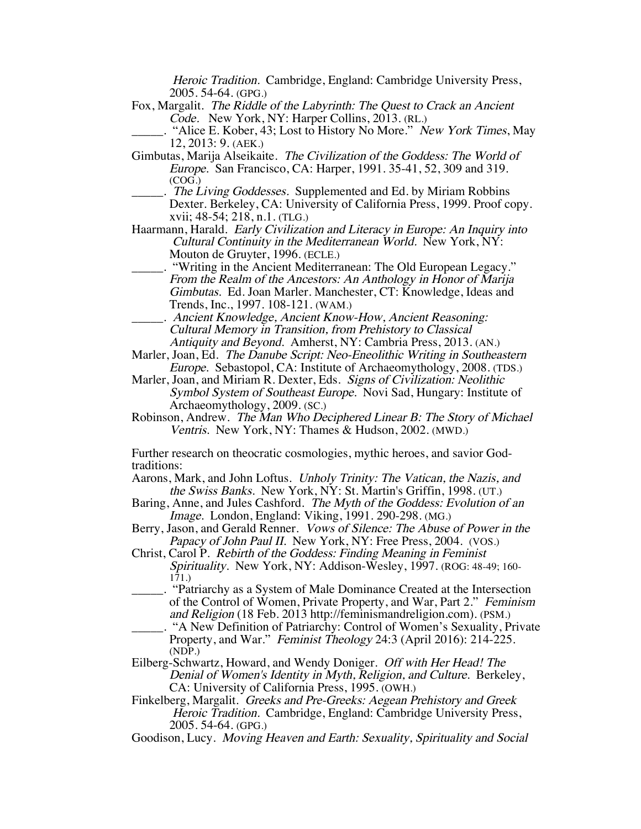Heroic Tradition. Cambridge, England: Cambridge University Press, 2005. 54-64. (GPG.)

Fox, Margalit. The Riddle of the Labyrinth: The Quest to Crack an Ancient Code. New York, NY: Harper Collins, 2013. (RL.)

. "Alice E. Kober, 43; Lost to History No More." New York Times, May 12, 2013: 9. (AEK.)

- Gimbutas, Marija Alseikaite. The Civilization of the Goddess: The World of Europe. San Francisco, CA: Harper, 1991. 35-41, 52, 309 and 319. (COG.)
- . The Living Goddesses. Supplemented and Ed. by Miriam Robbins Dexter. Berkeley, CA: University of California Press, 1999. Proof copy. xvii; 48-54; 218, n.1. (TLG.)
- Haarmann, Harald. Early Civilization and Literacy in Europe: An Inquiry into Cultural Continuity in the Mediterranean World. New York, NY: Mouton de Gruyter, 1996. (ECLE.)
	- \_\_\_\_\_. "Writing in the Ancient Mediterranean: The Old European Legacy." From the Realm of the Ancestors: An Anthology in Honor of Marija Gimbutas. Ed. Joan Marler. Manchester, CT: Knowledge, Ideas and Trends, Inc., 1997. 108-121. (WAM.)
- \_\_\_\_\_. Ancient Knowledge, Ancient Know-How, Ancient Reasoning: Cultural Memory in Transition, from Prehistory to Classical Antiquity and Beyond. Amherst, NY: Cambria Press, 2013. (AN.)
- Marler, Joan, Ed. The Danube Script: Neo-Eneolithic Writing in Southeastern Europe. Sebastopol, CA: Institute of Archaeomythology, 2008. (TDS.)
- Marler, Joan, and Miriam R. Dexter, Eds. Signs of Civilization: Neolithic Symbol System of Southeast Europe. Novi Sad, Hungary: Institute of Archaeomythology, 2009. (SC.)
- Robinson, Andrew. The Man Who Deciphered Linear B: The Story of Michael Ventris. New York, NY: Thames & Hudson, 2002. (MWD.)

Further research on theocratic cosmologies, mythic heroes, and savior Godtraditions:

- Aarons, Mark, and John Loftus. Unholy Trinity: The Vatican, the Nazis, and the Swiss Banks. New York, NY: St. Martin's Griffin, 1998. (UT.)
- Baring, Anne, and Jules Cashford. The Myth of the Goddess: Evolution of an Image. London, England: Viking, 1991. 290-298. (MG.)
- Berry, Jason, and Gerald Renner. Vows of Silence: The Abuse of Power in the Papacy of John Paul II. New York, NY: Free Press, 2004. (VOS.)
- Christ, Carol P. Rebirth of the Goddess: Finding Meaning in Feminist Spirituality. New York, NY: Addison-Wesley, 1997. (ROG: 48-49; 160- $171.$ )
- \_\_\_\_\_. "Patriarchy as a System of Male Dominance Created at the Intersection of the Control of Women, Private Property, and War, Part 2." Feminism and Religion (18 Feb. 2013 http://feminismandreligion.com). (PSM.)
- \_\_\_\_\_. "A New Definition of Patriarchy: Control of Women's Sexuality, Private Property, and War." *Feminist Theology* 24:3 (April 2016): 214-225. (NDP.)
- Eilberg-Schwartz, Howard, and Wendy Doniger. Off with Her Head! The Denial of Women's Identity in Myth, Religion, and Culture. Berkeley, CA: University of California Press, 1995. (OWH.)
- Finkelberg, Margalit. Greeks and Pre-Greeks: Aegean Prehistory and Greek Heroic Tradition. Cambridge, England: Cambridge University Press, 2005. 54-64. (GPG.)
- Goodison, Lucy. Moving Heaven and Earth: Sexuality, Spirituality and Social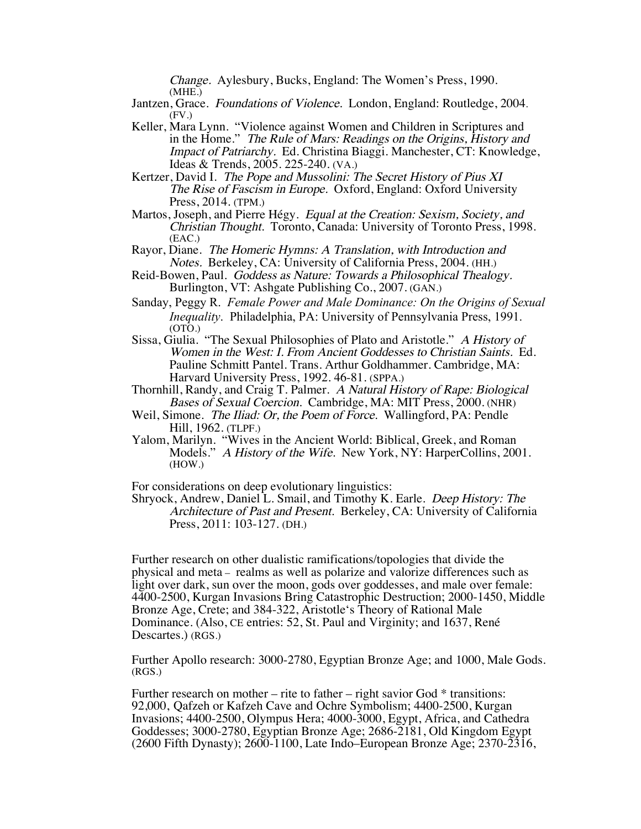Change. Aylesbury, Bucks, England: The Women's Press, 1990. (MHE.)

- Jantzen, Grace. Foundations of Violence. London, England: Routledge, 2004. (FV.)
- Keller, Mara Lynn. "Violence against Women and Children in Scriptures and in the Home." The Rule of Mars: Readings on the Origins, History and Impact of Patriarchy. Ed. Christina Biaggi. Manchester, CT: Knowledge, Ideas & Trends, 2005. 225-240. (VA.)
- Kertzer, David I. The Pope and Mussolini: The Secret History of Pius XI The Rise of Fascism in Europe. Oxford, England: Oxford University Press, 2014. (TPM.)
- Martos, Joseph, and Pierre Hégy. Equal at the Creation: Sexism, Society, and Christian Thought. Toronto, Canada: University of Toronto Press, 1998. (EAC.)
- Rayor, Diane. The Homeric Hymns: A Translation, with Introduction and Notes. Berkeley, CA: University of California Press, 2004. (HH.)
- Reid-Bowen, Paul. Goddess as Nature: Towards a Philosophical Thealogy. Burlington, VT: Ashgate Publishing Co., 2007. (GAN.)
- Sanday, Peggy R. *Female Power and Male Dominance: On the Origins of Sexual Inequality*. Philadelphia, PA: University of Pennsylvania Press, 1991. (OTO.)
- Sissa, Giulia. "The Sexual Philosophies of Plato and Aristotle." A History of Women in the West: I. From Ancient Goddesses to Christian Saints. Ed. Pauline Schmitt Pantel. Trans. Arthur Goldhammer. Cambridge, MA: Harvard University Press, 1992. 46-81. (SPPA.)
- Thornhill, Randy, and Craig T. Palmer. A Natural History of Rape: Biological Bases of Sexual Coercion. Cambridge, MA: MIT Press, 2000. (NHR)
- Weil, Simone. The Iliad: Or, the Poem of Force. Wallingford, PA: Pendle Hill, 1962. (TLPF.)
- Yalom, Marilyn. "Wives in the Ancient World: Biblical, Greek, and Roman Models." A History of the Wife. New York, NY: HarperCollins, 2001. (HOW.)

For considerations on deep evolutionary linguistics:

Shryock, Andrew, Daniel L. Smail, and Timothy K. Earle. Deep History: The Architecture of Past and Present. Berkeley, CA: University of California Press, 2011: 103-127. (DH.)

Further research on other dualistic ramifications/topologies that divide the physical and meta – realms as well as polarize and valorize differences such as light over dark, sun over the moon, gods over goddesses, and male over female: 4400-2500, Kurgan Invasions Bring Catastrophic Destruction; 2000-1450, Middle Bronze Age, Crete; and 384-322, Aristotle's Theory of Rational Male Dominance. (Also, CE entries: 52, St. Paul and Virginity; and 1637, René Descartes.) (RGS.)

Further Apollo research: 3000-2780, Egyptian Bronze Age; and 1000, Male Gods. (RGS.)

Further research on mother – rite to father – right savior God  $*$  transitions: 92,000, Qafzeh or Kafzeh Cave and Ochre Symbolism; 4400-2500, Kurgan Invasions; 4400-2500, Olympus Hera; 4000-3000, Egypt, Africa, and Cathedra Goddesses; 3000-2780, Egyptian Bronze Age; 2686-2181, Old Kingdom Egypt (2600 Fifth Dynasty); 2600-1100, Late Indo–European Bronze Age; 2370-2316,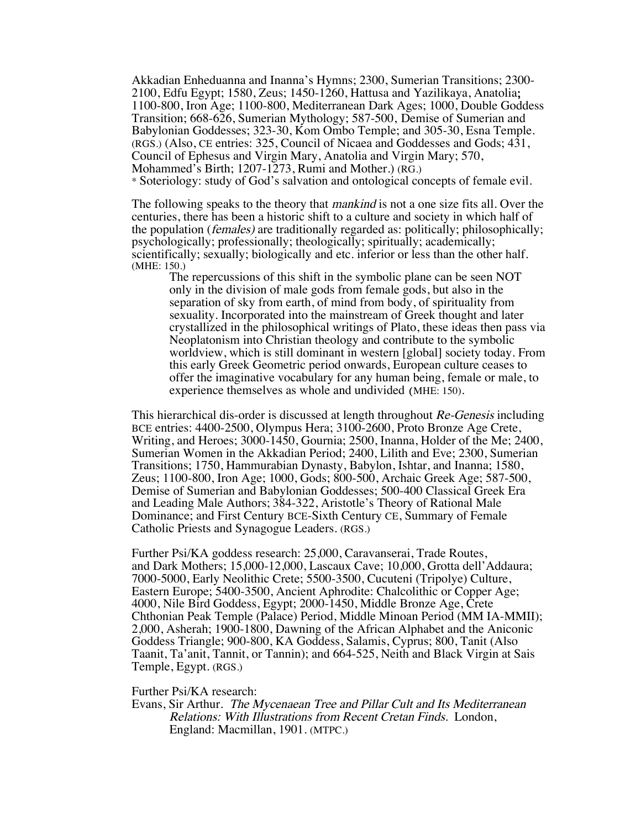Akkadian Enheduanna and Inanna's Hymns; 2300, Sumerian Transitions; 2300- 2100, Edfu Egypt; 1580, Zeus; 1450-1260, Hattusa and Yazilikaya, Anatolia; 1100-800, Iron Age; 1100-800, Mediterranean Dark Ages; 1000, Double Goddess Transition; 668-626, Sumerian Mythology; 587-500, Demise of Sumerian and Babylonian Goddesses; 323-30, Kom Ombo Temple; and 305-30, Esna Temple. (RGS.) (Also, CE entries: 325, Council of Nicaea and Goddesses and Gods; 431, Council of Ephesus and Virgin Mary, Anatolia and Virgin Mary; 570, Mohammed's Birth; 1207-1273, Rumi and Mother.) (RG.) \* Soteriology: study of God's salvation and ontological concepts of female evil.

The following speaks to the theory that *mankind* is not a one size fits all. Over the centuries, there has been a historic shift to a culture and society in which half of the population (females) are traditionally regarded as: politically; philosophically; psychologically; professionally; theologically; spiritually; academically; scientifically; sexually; biologically and etc. inferior or less than the other half. (MHE: 150.)

The repercussions of this shift in the symbolic plane can be seen NOT only in the division of male gods from female gods, but also in the separation of sky from earth, of mind from body, of spirituality from sexuality. Incorporated into the mainstream of Greek thought and later crystallized in the philosophical writings of Plato, these ideas then pass via Neoplatonism into Christian theology and contribute to the symbolic worldview, which is still dominant in western [global] society today. From this early Greek Geometric period onwards, European culture ceases to offer the imaginative vocabulary for any human being, female or male, to experience themselves as whole and undivided (MHE: 150).

This hierarchical dis-order is discussed at length throughout Re-Genesis including BCE entries: 4400-2500, Olympus Hera; 3100-2600, Proto Bronze Age Crete, Writing, and Heroes; 3000-1450, Gournia; 2500, Inanna, Holder of the Me; 2400, Sumerian Women in the Akkadian Period; 2400, Lilith and Eve; 2300, Sumerian Transitions; 1750, Hammurabian Dynasty, Babylon, Ishtar, and Inanna; 1580, Zeus; 1100-800, Iron Age; 1000, Gods; 800-500, Archaic Greek Age; 587-500, Demise of Sumerian and Babylonian Goddesses; 500-400 Classical Greek Era and Leading Male Authors; 384-322, Aristotle's Theory of Rational Male Dominance; and First Century BCE-Sixth Century CE, Summary of Female Catholic Priests and Synagogue Leaders. (RGS.)

Further Psi/KA goddess research: 25,000, Caravanserai, Trade Routes, and Dark Mothers; 15,000-12,000, Lascaux Cave; 10,000, Grotta dell'Addaura; 7000-5000, Early Neolithic Crete; 5500-3500, Cucuteni (Tripolye) Culture, Eastern Europe; 5400-3500, Ancient Aphrodite: Chalcolithic or Copper Age; 4000, Nile Bird Goddess, Egypt; 2000-1450, Middle Bronze Age, Crete Chthonian Peak Temple (Palace) Period, Middle Minoan Period (MM IA-MMII); 2,000, Asherah; 1900-1800, Dawning of the African Alphabet and the Aniconic Goddess Triangle; 900-800, KA Goddess, Salamis, Cyprus; 800, Tanit (Also Taanit, Ta'anit, Tannit, or Tannin); and 664-525, Neith and Black Virgin at Sais Temple, Egypt. (RGS.)

#### Further Psi/KA research:

Evans, Sir Arthur. The Mycenaean Tree and Pillar Cult and Its Mediterranean Relations: With Illustrations from Recent Cretan Finds. London, England: Macmillan, 1901. (MTPC.)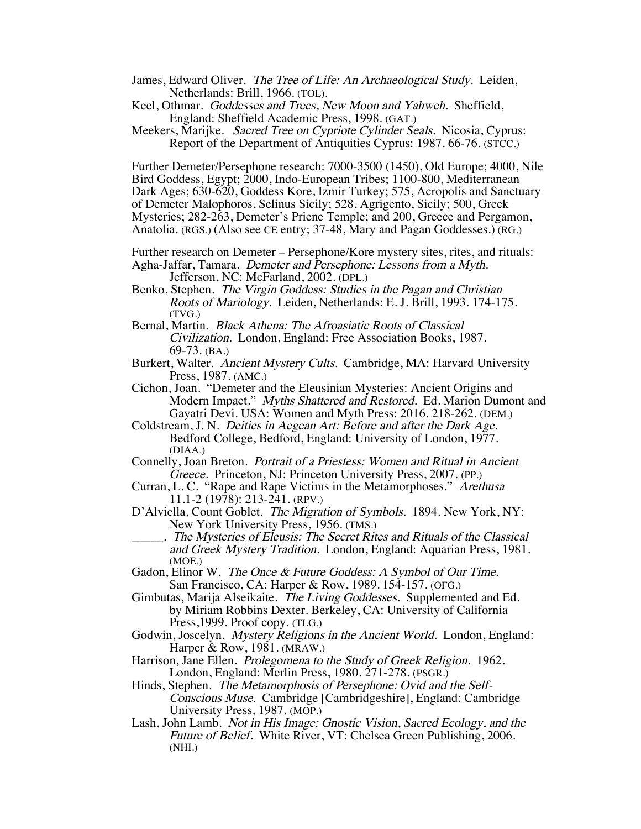- James, Edward Oliver. The Tree of Life: An Archaeological Study. Leiden, Netherlands: Brill, 1966. (TOL).
- Keel, Othmar. Goddesses and Trees, New Moon and Yahweh. Sheffield, England: Sheffield Academic Press, 1998. (GAT.)
- Meekers, Marijke. Sacred Tree on Cypriote Cylinder Seals. Nicosia, Cyprus: Report of the Department of Antiquities Cyprus: 1987. 66-76. (STCC.)

Further Demeter/Persephone research: 7000-3500 (1450), Old Europe; 4000, Nile Bird Goddess, Egypt; 2000, Indo-European Tribes; 1100-800, Mediterranean Dark Ages; 630-620, Goddess Kore, Izmir Turkey; 575, Acropolis and Sanctuary of Demeter Malophoros, Selinus Sicily; 528, Agrigento, Sicily; 500, Greek Mysteries; 282-263, Demeter's Priene Temple; and 200, Greece and Pergamon, Anatolia. (RGS.) (Also see CE entry; 37-48, Mary and Pagan Goddesses.) (RG.)

Further research on Demeter – Persephone/Kore mystery sites, rites, and rituals: Agha-Jaffar, Tamara. Demeter and Persephone: Lessons from a Myth. Jefferson, NC: McFarland, 2002. (DPL.)

- Benko, Stephen. The Virgin Goddess: Studies in the Pagan and Christian Roots of Mariology. Leiden, Netherlands: E. J. Brill, 1993. 174-175. (TVG.)
- Bernal, Martin. Black Athena: The Afroasiatic Roots of Classical Civilization. London, England: Free Association Books, 1987. 69-73. (BA.)
- Burkert, Walter. Ancient Mystery Cults. Cambridge, MA: Harvard University Press, 1987. (AMC.)
- Cichon, Joan. "Demeter and the Eleusinian Mysteries: Ancient Origins and Modern Impact." Myths Shattered and Restored. Ed. Marion Dumont and Gayatri Devi. USA: Women and Myth Press: 2016. 218-262. (DEM.)
- Coldstream, J. N. Deities in Aegean Art: Before and after the Dark Age. Bedford College, Bedford, England: University of London, 1977. (DIAA.)
- Connelly, Joan Breton. Portrait of a Priestess: Women and Ritual in Ancient Greece. Princeton, NJ: Princeton University Press, 2007. (PP.)
- Curran, L. C. "Rape and Rape Victims in the Metamorphoses." Arethusa 11.1-2 (1978): 213-241. (RPV.)
- D'Alviella, Count Goblet. The Migration of Symbols. 1894. New York, NY: New York University Press, 1956. (TMS.)
	- \_\_\_\_\_. The Mysteries of Eleusis: The Secret Rites and Rituals of the Classical and Greek Mystery Tradition. London, England: Aquarian Press, 1981. (MOE.)
- Gadon, Elinor W. The Once & Future Goddess: A Symbol of Our Time. San Francisco, CA: Harper & Row, 1989. 154-157. (OFG.)
- Gimbutas, Marija Alseikaite. The Living Goddesses. Supplemented and Ed. by Miriam Robbins Dexter. Berkeley, CA: University of California Press, 1999. Proof copy. (TLG.)
- Godwin, Joscelyn. Mystery Religions in the Ancient World. London, England: Harper & Row, 1981. (MRAW.)
- Harrison, Jane Ellen. Prolegomena to the Study of Greek Religion. 1962. London, England: Merlin Press, 1980. 271-278. (PSGR.)
- Hinds, Stephen. The Metamorphosis of Persephone: Ovid and the Self-Conscious Muse. Cambridge [Cambridgeshire], England: Cambridge University Press, 1987. (MOP.)
- Lash, John Lamb. Not in His Image: Gnostic Vision, Sacred Ecology, and the Future of Belief. White River, VT: Chelsea Green Publishing, 2006. (NHI.)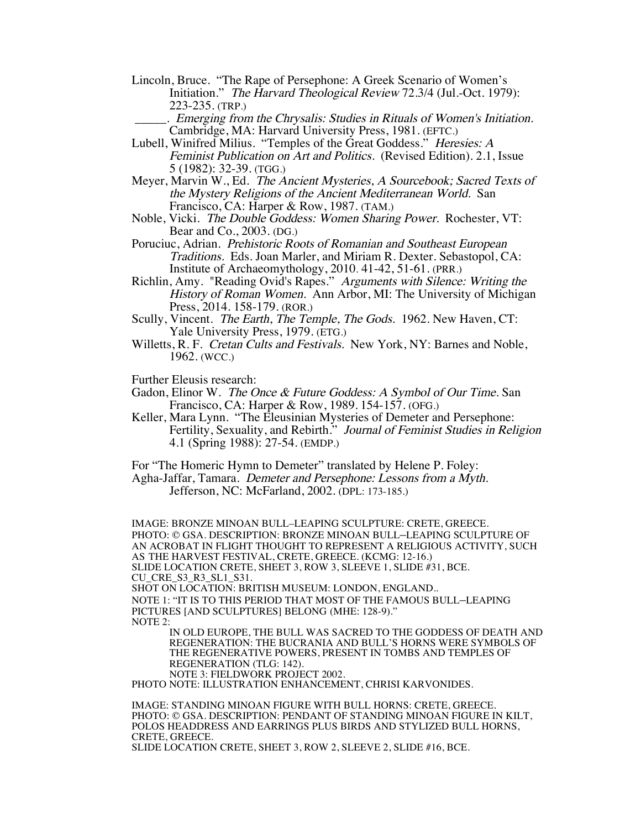- Lincoln, Bruce. "The Rape of Persephone: A Greek Scenario of Women's Initiation." The Harvard Theological Review 72.3/4 (Jul.-Oct. 1979): 223-235. (TRP.)
	- \_\_\_\_\_. Emerging from the Chrysalis: Studies in Rituals of Women's Initiation. Cambridge, MA: Harvard University Press, 1981. (EFTC.)
- Lubell, Winifred Milius. "Temples of the Great Goddess." Heresies: A Feminist Publication on Art and Politics. (Revised Edition). 2.1, Issue 5 (1982): 32-39. (TGG.)
- Meyer, Marvin W., Ed. The Ancient Mysteries, A Sourcebook; Sacred Texts of the Mystery Religions of the Ancient Mediterranean World. San Francisco, CA: Harper & Row, 1987. (TAM.)
- Noble, Vicki. The Double Goddess: Women Sharing Power. Rochester, VT: Bear and Co., 2003. (DG.)
- Poruciuc, Adrian. Prehistoric Roots of Romanian and Southeast European Traditions. Eds. Joan Marler, and Miriam R. Dexter. Sebastopol, CA: Institute of Archaeomythology, 2010. 41-42, 51-61. (PRR.)
- Richlin, Amy. "Reading Ovid's Rapes." Arguments with Silence: Writing the History of Roman Women. Ann Arbor, MI: The University of Michigan Press, 2014. 158-179. (ROR.)
- Scully, Vincent. The Earth, The Temple, The Gods. 1962. New Haven, CT: Yale University Press, 1979. (ETG.)
- Willetts, R. F. Cretan Cults and Festivals. New York, NY: Barnes and Noble, 1962. (WCC.)
- Further Eleusis research:
- Gadon, Elinor W. The Once & Future Goddess: A Symbol of Our Time. San Francisco, CA: Harper & Row, 1989. 154-157. (OFG.)
- Keller, Mara Lynn. "The Eleusinian Mysteries of Demeter and Persephone: Fertility, Sexuality, and Rebirth." Journal of Feminist Studies in Religion 4.1 (Spring 1988): 27-54. (EMDP.)
- For "The Homeric Hymn to Demeter" translated by Helene P. Foley:
- Agha-Jaffar, Tamara. Demeter and Persephone: Lessons from a Myth. Jefferson, NC: McFarland, 2002. (DPL: 173-185.)

IMAGE: BRONZE MINOAN BULL–LEAPING SCULPTURE: CRETE, GREECE. PHOTO: © GSA. DESCRIPTION: BRONZE MINOAN BULL–LEAPING SCULPTURE OF AN ACROBAT IN FLIGHT THOUGHT TO REPRESENT A RELIGIOUS ACTIVITY, SUCH AS THE HARVEST FESTIVAL, CRETE, GREECE. (KCMG: 12-16.) SLIDE LOCATION CRETE, SHEET 3, ROW 3, SLEEVE 1, SLIDE #31, BCE. CU\_CRE\_S3\_R3\_SL1\_S31. SHOT ON LOCATION: BRITISH MUSEUM: LONDON, ENGLAND..

NOTE 1: "IT IS TO THIS PERIOD THAT MOST OF THE FAMOUS BULL–LEAPING PICTURES [AND SCULPTURES] BELONG (MHE: 128-9)." NOTE 2:

IN OLD EUROPE, THE BULL WAS SACRED TO THE GODDESS OF DEATH AND REGENERATION: THE BUCRANIA AND BULL'S HORNS WERE SYMBOLS OF THE REGENERATIVE POWERS, PRESENT IN TOMBS AND TEMPLES OF REGENERATION (TLG: 142). NOTE 3: FIELDWORK PROJECT 2002.

PHOTO NOTE: ILLUSTRATION ENHANCEMENT, CHRISI KARVONIDES.

IMAGE: STANDING MINOAN FIGURE WITH BULL HORNS: CRETE, GREECE. PHOTO: © GSA. DESCRIPTION: PENDANT OF STANDING MINOAN FIGURE IN KILT, POLOS HEADDRESS AND EARRINGS PLUS BIRDS AND STYLIZED BULL HORNS, CRETE, GREECE.

SLIDE LOCATION CRETE, SHEET 3, ROW 2, SLEEVE 2, SLIDE #16, BCE.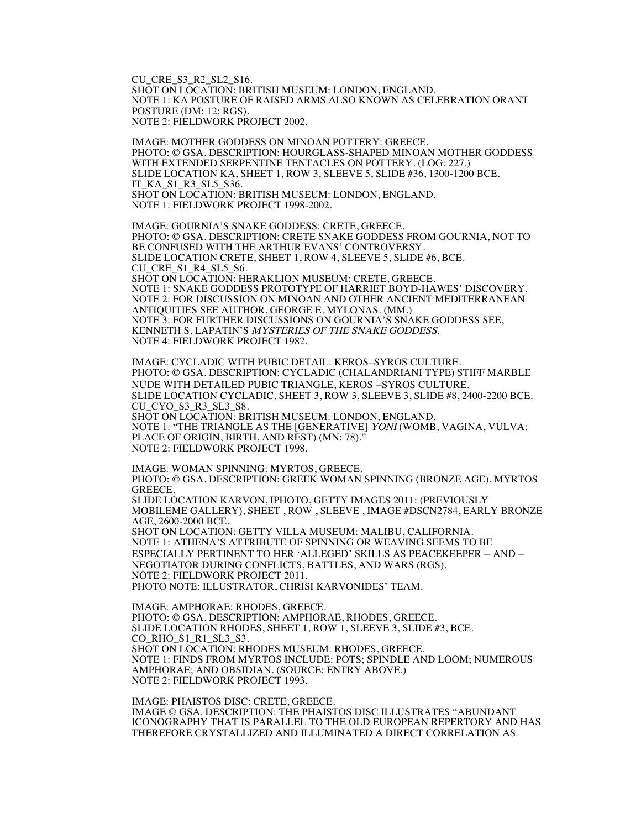CU\_CRE\_S3\_R2\_SL2\_S16. SHOT ON LOCATION: BRITISH MUSEUM: LONDON, ENGLAND. NOTE 1: KA POSTURE OF RAISED ARMS ALSO KNOWN AS CELEBRATION ORANT POSTURE (DM: 12; RGS). NOTE 2: FIELDWORK PROJECT 2002.

IMAGE: MOTHER GODDESS ON MINOAN POTTERY: GREECE. PHOTO: © GSA. DESCRIPTION: HOURGLASS-SHAPED MINOAN MOTHER GODDESS WITH EXTENDED SERPENTINE TENTACLES ON POTTERY. (LOG: 227.) SLIDE LOCATION KA, SHEET 1, ROW 3, SLEEVE 5, SLIDE #36, 1300-1200 BCE. IT\_KA\_S1\_R3\_SL5\_S36. SHOT ON LOCATION: BRITISH MUSEUM: LONDON, ENGLAND. NOTE 1: FIELDWORK PROJECT 1998-2002.

IMAGE: GOURNIA'S SNAKE GODDESS: CRETE, GREECE. PHOTO: © GSA. DESCRIPTION: CRETE SNAKE GODDESS FROM GOURNIA, NOT TO BE CONFUSED WITH THE ARTHUR EVANS' CONTROVERSY. SLIDE LOCATION CRETE, SHEET 1, ROW 4, SLEEVE 5, SLIDE #6, BCE.<br>CU CRE S1 R4 SL5 S6. SHOT ON LOCATION: HERAKLION MUSEUM: CRETE, GREECE. NOTE 1: SNAKE GODDESS PROTOTYPE OF HARRIET BOYD-HAWES' DISCOVERY. NOTE 2: FOR DISCUSSION ON MINOAN AND OTHER ANCIENT MEDITERRANEAN ANTIQUITIES SEE AUTHOR, GEORGE E. MYLONAS. (MM.) NOTE 3: FOR FURTHER DISCUSSIONS ON GOURNIA'S SNAKE GODDESS SEE, KENNETH S. LAPATIN'S MYSTERIES OF THE SNAKE GODDESS. NOTE 4: FIELDWORK PROJECT 1982.

IMAGE: CYCLADIC WITH PUBIC DETAIL: KEROS–SYROS CULTURE. PHOTO: © GSA. DESCRIPTION: CYCLADIC (CHALANDRIANI TYPE) STIFF MARBLE NUDE WITH DETAILED PUBIC TRIANGLE, KEROS –SYROS CULTURE. SLIDE LOCATION CYCLADIC, SHEET 3, ROW 3, SLEEVE 3, SLIDE #8, 2400-2200 BCE. CU CYO S3 R3 SL3 S8. SHOT ON LOCATION: BRITISH MUSEUM: LONDON, ENGLAND. NOTE 1: "THE TRIANGLE AS THE [GENERATIVE] YONI (WOMB, VAGINA, VULVA; PLACE OF ORIGIN, BIRTH, AND REST) (MN: 78)." NOTE 2: FIELDWORK PROJECT 1998.

IMAGE: WOMAN SPINNING: MYRTOS, GREECE. PHOTO: © GSA. DESCRIPTION: GREEK WOMAN SPINNING (BRONZE AGE), MYRTOS GREECE. SLIDE LOCATION KARVON, IPHOTO, GETTY IMAGES 2011: (PREVIOUSLY MOBILEME GALLERY), SHEET , ROW , SLEEVE , IMAGE #DSCN2784, EARLY BRONZE AGE, 2600-2000 BCE. SHOT ON LOCATION: GETTY VILLA MUSEUM: MALIBU, CALIFORNIA. NOTE 1: ATHENA'S ATTRIBUTE OF SPINNING OR WEAVING SEEMS TO BE ESPECIALLY PERTINENT TO HER 'ALLEGED' SKILLS AS PEACEKEEPER – AND – NEGOTIATOR DURING CONFLICTS, BATTLES, AND WARS (RGS).

NOTE 2: FIELDWORK PROJECT 2011.

PHOTO NOTE: ILLUSTRATOR, CHRISI KARVONIDES' TEAM.

IMAGE: AMPHORAE: RHODES, GREECE. PHOTO: © GSA. DESCRIPTION: AMPHORAE, RHODES, GREECE. SLIDE LOCATION RHODES, SHEET 1, ROW 1, SLEEVE 3, SLIDE #3, BCE. CO\_RHO\_S1\_R1\_SL3\_S3. SHOT ON LOCATION: RHODES MUSEUM: RHODES, GREECE. NOTE 1: FINDS FROM MYRTOS INCLUDE: POTS; SPINDLE AND LOOM; NUMEROUS AMPHORAE; AND OBSIDIAN. (SOURCE: ENTRY ABOVE.) NOTE 2: FIELDWORK PROJECT 1993.

IMAGE: PHAISTOS DISC: CRETE, GREECE. IMAGE © GSA. DESCRIPTION: THE PHAISTOS DISC ILLUSTRATES "ABUNDANT ICONOGRAPHY THAT IS PARALLEL TO THE OLD EUROPEAN REPERTORY AND HAS THEREFORE CRYSTALLIZED AND ILLUMINATED A DIRECT CORRELATION AS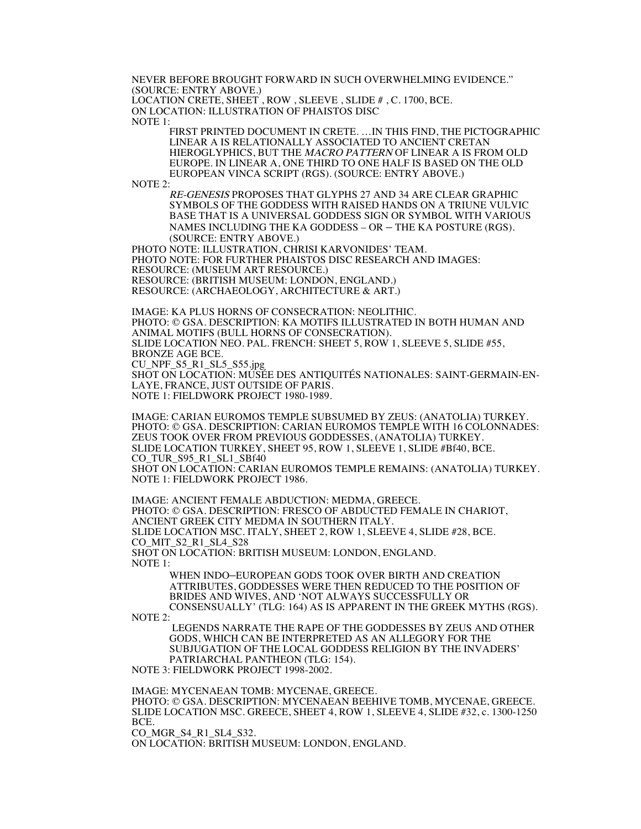NEVER BEFORE BROUGHT FORWARD IN SUCH OVERWHELMING EVIDENCE." (SOURCE: ENTRY ABOVE.)

LOCATION CRETE, SHEET , ROW , SLEEVE , SLIDE # , C. 1700, BCE. ON LOCATION: ILLUSTRATION OF PHAISTOS DISC

NOTE 1:

FIRST PRINTED DOCUMENT IN CRETE. …IN THIS FIND, THE PICTOGRAPHIC LINEAR A IS RELATIONALLY ASSOCIATED TO ANCIENT CRETAN HIEROGLYPHICS, BUT THE MACRO PATTERN OF LINEAR A IS FROM OLD EUROPE. IN LINEAR A, ONE THIRD TO ONE HALF IS BASED ON THE OLD EUROPEAN VINCA SCRIPT (RGS). (SOURCE: ENTRY ABOVE.)

NOTE 2:

RE-GENESIS PROPOSES THAT GLYPHS 27 AND 34 ARE CLEAR GRAPHIC SYMBOLS OF THE GODDESS WITH RAISED HANDS ON A TRIUNE VULVIC BASE THAT IS A UNIVERSAL GODDESS SIGN OR SYMBOL WITH VARIOUS NAMES INCLUDING THE KA GODDESS – OR – THE KA POSTURE (RGS). (SOURCE: ENTRY ABOVE.)

PHOTO NOTE: ILLUSTRATION, CHRISI KARVONIDES' TEAM. PHOTO NOTE: FOR FURTHER PHAISTOS DISC RESEARCH AND IMAGES: RESOURCE: (MUSEUM ART RESOURCE.) RESOURCE: (BRITISH MUSEUM: LONDON, ENGLAND.) RESOURCE: (ARCHAEOLOGY, ARCHITECTURE & ART.)

IMAGE: KA PLUS HORNS OF CONSECRATION: NEOLITHIC. PHOTO: © GSA. DESCRIPTION: KA MOTIFS ILLUSTRATED IN BOTH HUMAN AND ANIMAL MOTIFS (BULL HORNS OF CONSECRATION). SLIDE LOCATION NEO. PAL. FRENCH: SHEET 5, ROW 1, SLEEVE 5, SLIDE #55, BRONZE AGE BCE. CU\_NPF\_S5\_R1\_SL5\_S55.jpg

SHOT ON LOCATION: MUSÉE DES ANTIQUITÉS NATIONALES: SAINT-GERMAIN-EN-LAYE, FRANCE, JUST OUTSIDE OF PARIS. NOTE 1: FIELDWORK PROJECT 1980-1989.

IMAGE: CARIAN EUROMOS TEMPLE SUBSUMED BY ZEUS: (ANATOLIA) TURKEY. PHOTO: © GSA. DESCRIPTION: CARIAN EUROMOS TEMPLE WITH 16 COLONNADES: ZEUS TOOK OVER FROM PREVIOUS GODDESSES, (ANATOLIA) TURKEY. SLIDE LOCATION TURKEY, SHEET 95, ROW 1, SLEEVE 1, SLIDE #Bf40, BCE. CO TUR S95 R1 SL1 SBf40 SHOT ON LOCATION: CARIAN EUROMOS TEMPLE REMAINS: (ANATOLIA) TURKEY. NOTE 1: FIELDWORK PROJECT 1986.

IMAGE: ANCIENT FEMALE ABDUCTION: MEDMA, GREECE. PHOTO: © GSA. DESCRIPTION: FRESCO OF ABDUCTED FEMALE IN CHARIOT, ANCIENT GREEK CITY MEDMA IN SOUTHERN ITALY. SLIDE LOCATION MSC. ITALY, SHEET 2, ROW 1, SLEEVE 4, SLIDE #28, BCE. CO\_MIT\_S2\_R1\_SL4\_S28 SHOT ON LOCATION: BRITISH MUSEUM: LONDON, ENGLAND. NOTE 1:

WHEN INDO–EUROPEAN GODS TOOK OVER BIRTH AND CREATION ATTRIBUTES, GODDESSES WERE THEN REDUCED TO THE POSITION OF BRIDES AND WIVES, AND 'NOT ALWAYS SUCCESSFULLY OR CONSENSUALLY' (TLG: 164) AS IS APPARENT IN THE GREEK MYTHS (RGS).

NOTE 2:

LEGENDS NARRATE THE RAPE OF THE GODDESSES BY ZEUS AND OTHER GODS, WHICH CAN BE INTERPRETED AS AN ALLEGORY FOR THE SUBJUGATION OF THE LOCAL GODDESS RELIGION BY THE INVADERS' PATRIARCHAL PANTHEON (TLG: 154).

NOTE 3: FIELDWORK PROJECT 1998-2002.

IMAGE: MYCENAEAN TOMB: MYCENAE, GREECE. PHOTO: © GSA. DESCRIPTION: MYCENAEAN BEEHIVE TOMB, MYCENAE, GREECE. SLIDE LOCATION MSC. GREECE, SHEET 4, ROW 1, SLEEVE 4, SLIDE #32, c. 1300-1250 BCE.

CO\_MGR\_S4\_R1\_SL4\_S32.

ON LOCATION: BRITISH MUSEUM: LONDON, ENGLAND.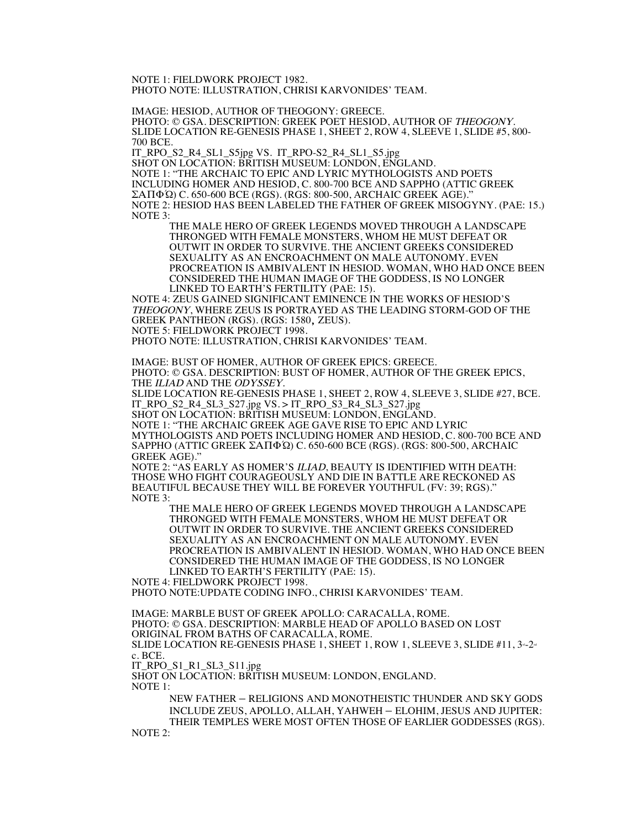NOTE 1: FIELDWORK PROJECT 1982. PHOTO NOTE: ILLUSTRATION, CHRISI KARVONIDES' TEAM.

IMAGE: HESIOD, AUTHOR OF THEOGONY: GREECE.<br>PHOTO: © GSA. DESCRIPTION: GREEK POET HESIOD, AUTHOR OF *THEOGONY*. SLIDE LOCATION RE-GENESIS PHASE 1, SHEET 2, ROW 4, SLEEVE 1, SLIDE #5, 800-700 BCE.

IT\_RPO\_S2\_R4\_SL1\_S5jpg VS. IT\_RPO-S2\_R4\_SL1\_S5.jpg

SHOT ON LOCATION: BRITISH MUSEUM: LONDON, ENGLAND. NOTE 1: "THE ARCHAIC TO EPIC AND LYRIC MYTHOLOGISTS AND POETS INCLUDING HOMER AND HESIOD, C. 800-700 BCE AND SAPPHO (ATTIC GREEK ΣΑΠΦΏ) C. 650-600 BCE (RGS). (RGS: 800-500, ARCHAIC GREEK AGE)." NOTE 2: HESIOD HAS BEEN LABELED THE FATHER OF GREEK MISOGYNY. (PAE: 15.) NOTE 3:

THE MALE HERO OF GREEK LEGENDS MOVED THROUGH A LANDSCAPE THRONGED WITH FEMALE MONSTERS, WHOM HE MUST DEFEAT OR OUTWIT IN ORDER TO SURVIVE. THE ANCIENT GREEKS CONSIDERED SEXUALITY AS AN ENCROACHMENT ON MALE AUTONOMY. EVEN PROCREATION IS AMBIVALENT IN HESIOD. WOMAN, WHO HAD ONCE BEEN CONSIDERED THE HUMAN IMAGE OF THE GODDESS, IS NO LONGER LINKED TO EARTH'S FERTILITY (PAE: 15).

NOTE 4: ZEUS GAINED SIGNIFICANT EMINENCE IN THE WORKS OF HESIOD'S THEOGONY, WHERE ZEUS IS PORTRAYED AS THE LEADING STORM-GOD OF THE GREEK PANTHEON (RGS). (RGS: 1580, ZEUS).

NOTE 5: FIELDWORK PROJECT 1998.

PHOTO NOTE: ILLUSTRATION, CHRISI KARVONIDES' TEAM.

IMAGE: BUST OF HOMER, AUTHOR OF GREEK EPICS: GREECE. PHOTO: © GSA. DESCRIPTION: BUST OF HOMER, AUTHOR OF THE GREEK EPICS, THE ILIAD AND THE ODYSSEY.

SLIDE LOCATION RE-GENESIS PHASE 1, SHEET 2, ROW 4, SLEEVE 3, SLIDE #27, BCE. IT\_RPO\_S2\_R4\_SL3\_S27.jpg VS. > IT\_RPO\_S3\_R4\_SL3\_S27.jpg

SHOT ON LOCATION: BRITISH MUSEUM: LONDON, ENGLAND.

NOTE 1: "THE ARCHAIC GREEK AGE GAVE RISE TO EPIC AND LYRIC MYTHOLOGISTS AND POETS INCLUDING HOMER AND HESIOD, C. 800-700 BCE AND SAPPHO (ATTIC GREEK ΣΑΠΦΏ) C. 650-600 BCE (RGS). (RGS: 800-500, ARCHAIC GREEK AGE)."

NOTE 2: "AS EARLY AS HOMER'S ILIAD, BEAUTY IS IDENTIFIED WITH DEATH: THOSE WHO FIGHT COURAGEOUSLY AND DIE IN BATTLE ARE RECKONED AS BEAUTIFUL BECAUSE THEY WILL BE FOREVER YOUTHFUL (FV: 39; RGS)." NOTE 3:

THE MALE HERO OF GREEK LEGENDS MOVED THROUGH A LANDSCAPE THRONGED WITH FEMALE MONSTERS, WHOM HE MUST DEFEAT OR OUTWIT IN ORDER TO SURVIVE. THE ANCIENT GREEKS CONSIDERED SEXUALITY AS AN ENCROACHMENT ON MALE AUTONOMY. EVEN PROCREATION IS AMBIVALENT IN HESIOD. WOMAN, WHO HAD ONCE BEEN CONSIDERED THE HUMAN IMAGE OF THE GODDESS, IS NO LONGER LINKED TO EARTH'S FERTILITY (PAE: 15).

NOTE 4: FIELDWORK PROJECT 1998.

PHOTO NOTE:UPDATE CODING INFO., CHRISI KARVONIDES' TEAM.

IMAGE: MARBLE BUST OF GREEK APOLLO: CARACALLA, ROME. PHOTO: © GSA. DESCRIPTION: MARBLE HEAD OF APOLLO BASED ON LOST ORIGINAL FROM BATHS OF CARACALLA, ROME. SLIDE LOCATION RE-GENESIS PHASE 1, SHEET 1, ROW 1, SLEEVE 3, SLIDE #11,  $3-2$ c. BCE. IT\_RPO\_S1\_R1\_SL3\_S11.jpg SHOT ON LOCATION: BRITISH MUSEUM: LONDON, ENGLAND.

NOTE 1:

NEW FATHER – RELIGIONS AND MONOTHEISTIC THUNDER AND SKY GODS INCLUDE ZEUS, APOLLO, ALLAH, YAHWEH – ELOHIM, JESUS AND JUPITER: THEIR TEMPLES WERE MOST OFTEN THOSE OF EARLIER GODDESSES (RGS). NOTE 2: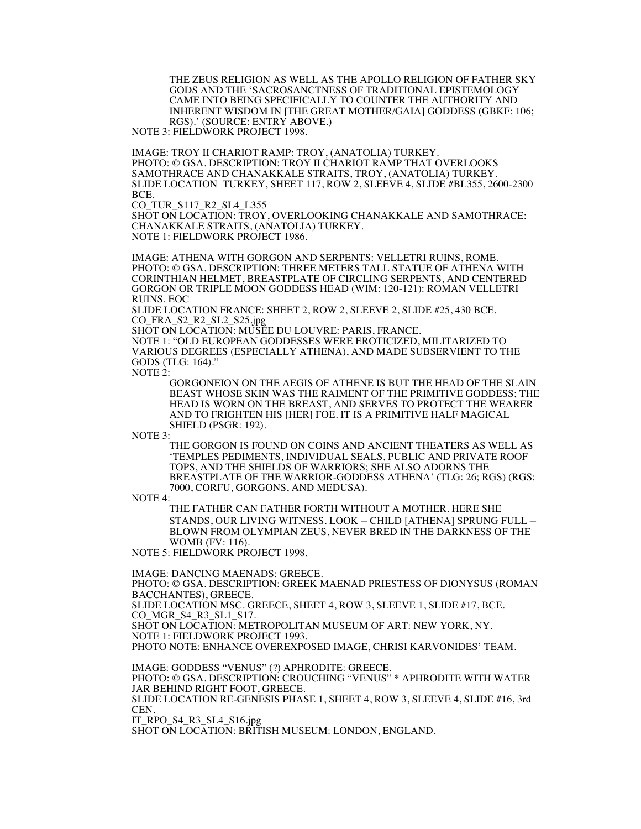THE ZEUS RELIGION AS WELL AS THE APOLLO RELIGION OF FATHER SKY GODS AND THE 'SACROSANCTNESS OF TRADITIONAL EPISTEMOLOGY CAME INTO BEING SPECIFICALLY TO COUNTER THE AUTHORITY AND INHERENT WISDOM IN [THE GREAT MOTHER/GAIA] GODDESS (GBKF: 106; RGS).' (SOURCE: ENTRY ABOVE.)

NOTE 3: FIELDWORK PROJECT 1998.

IMAGE: TROY II CHARIOT RAMP: TROY, (ANATOLIA) TURKEY. PHOTO: © GSA. DESCRIPTION: TROY II CHARIOT RAMP THAT OVERLOOKS SAMOTHRACE AND CHANAKKALE STRAITS, TROY, (ANATOLIA) TURKEY. SLIDE LOCATION TURKEY, SHEET 117, ROW 2, SLEEVE 4, SLIDE #BL355, 2600-2300  $RCF$ 

CO\_TUR\_S117\_R2\_SL4\_L355

SHOT ON LOCATION: TROY, OVERLOOKING CHANAKKALE AND SAMOTHRACE: CHANAKKALE STRAITS, (ANATOLIA) TURKEY. NOTE 1: FIELDWORK PROJECT 1986.

IMAGE: ATHENA WITH GORGON AND SERPENTS: VELLETRI RUINS, ROME. PHOTO: © GSA. DESCRIPTION: THREE METERS TALL STATUE OF ATHENA WITH CORINTHIAN HELMET, BREASTPLATE OF CIRCLING SERPENTS, AND CENTERED GORGON OR TRIPLE MOON GODDESS HEAD (WIM: 120-121): ROMAN VELLETRI RUINS. EOC

SLIDE LOCATION FRANCE: SHEET 2, ROW 2, SLEEVE 2, SLIDE #25, 430 BCE. CO\_FRA\_S2\_R2\_SL2\_S25.jpg

SHOT ON LOCATION: MUSÉE DU LOUVRE: PARIS, FRANCE.

NOTE 1: "OLD EUROPEAN GODDESSES WERE EROTICIZED, MILITARIZED TO VARIOUS DEGREES (ESPECIALLY ATHENA), AND MADE SUBSERVIENT TO THE GODS (TLG: 164)."

NOTE 2:

GORGONEION ON THE AEGIS OF ATHENE IS BUT THE HEAD OF THE SLAIN BEAST WHOSE SKIN WAS THE RAIMENT OF THE PRIMITIVE GODDESS; THE HEAD IS WORN ON THE BREAST, AND SERVES TO PROTECT THE WEARER AND TO FRIGHTEN HIS [HER] FOE. IT IS A PRIMITIVE HALF MAGICAL SHIELD (PSGR: 192).

NOTE 3:

THE GORGON IS FOUND ON COINS AND ANCIENT THEATERS AS WELL AS 'TEMPLES PEDIMENTS, INDIVIDUAL SEALS, PUBLIC AND PRIVATE ROOF TOPS, AND THE SHIELDS OF WARRIORS; SHE ALSO ADORNS THE BREASTPLATE OF THE WARRIOR-GODDESS ATHENA' (TLG: 26; RGS) (RGS: 7000, CORFU, GORGONS, AND MEDUSA).

NOTE 4:

THE FATHER CAN FATHER FORTH WITHOUT A MOTHER. HERE SHE STANDS, OUR LIVING WITNESS. LOOK – CHILD [ATHENA] SPRUNG FULL – BLOWN FROM OLYMPIAN ZEUS, NEVER BRED IN THE DARKNESS OF THE WOMB (FV: 116).

NOTE 5: FIELDWORK PROJECT 1998.

IMAGE: DANCING MAENADS: GREECE.

PHOTO: © GSA. DESCRIPTION: GREEK MAENAD PRIESTESS OF DIONYSUS (ROMAN BACCHANTES), GREECE.

SLIDE LOCATION MSC. GREECE, SHEET 4, ROW 3, SLEEVE 1, SLIDE #17, BCE. CO\_MGR\_S4\_R3\_SL1\_S17.

SHOT ON LOCATION: METROPOLITAN MUSEUM OF ART: NEW YORK, NY. NOTE 1: FIELDWORK PROJECT 1993.

PHOTO NOTE: ENHANCE OVEREXPOSED IMAGE, CHRISI KARVONIDES' TEAM.

IMAGE: GODDESS "VENUS" (?) APHRODITE: GREECE.

PHOTO: © GSA. DESCRIPTION: CROUCHING "VENUS" \* APHRODITE WITH WATER JAR BEHIND RIGHT FOOT, GREECE.

SLIDE LOCATION RE-GENESIS PHASE 1, SHEET 4, ROW 3, SLEEVE 4, SLIDE #16, 3rd CEN.

IT\_RPO\_S4\_R3\_SL4\_S16.jpg

SHOT ON LOCATION: BRITISH MUSEUM: LONDON, ENGLAND.